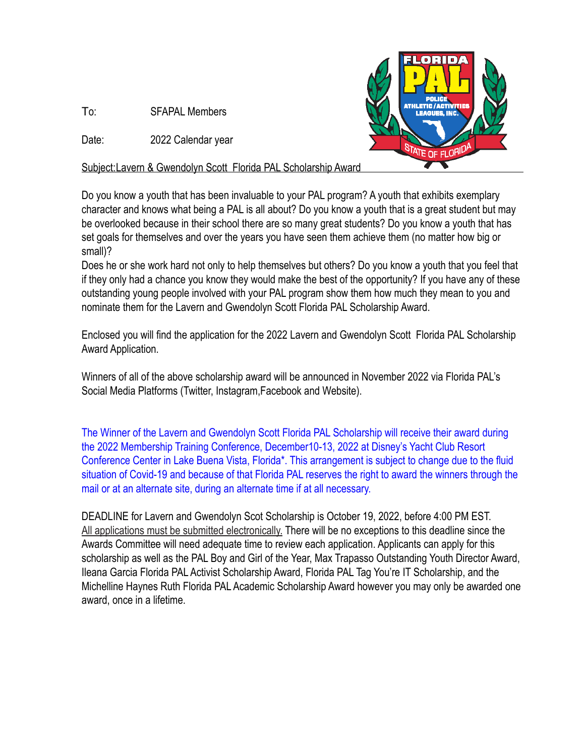To: SFAPAL Members

Date: 2022 Calendar year



Subject:Lavern & Gwendolyn Scott Florida PAL Scholarship Award

Do you know a youth that has been invaluable to your PAL program? A youth that exhibits exemplary character and knows what being a PAL is all about? Do you know a youth that is a great student but may be overlooked because in their school there are so many great students? Do you know a youth that has set goals for themselves and over the years you have seen them achieve them (no matter how big or small)?

Does he or she work hard not only to help themselves but others? Do you know a youth that you feel that if they only had a chance you know they would make the best of the opportunity? If you have any of these outstanding young people involved with your PAL program show them how much they mean to you and nominate them for the Lavern and Gwendolyn Scott Florida PAL Scholarship Award.

Enclosed you will find the application for the 2022 Lavern and Gwendolyn Scott Florida PAL Scholarship Award Application.

Winners of all of the above scholarship award will be announced in November 2022 via Florida PAL's Social Media Platforms (Twitter, Instagram,Facebook and Website).

The Winner of the Lavern and Gwendolyn Scott Florida PAL Scholarship will receive their award during the 2022 Membership Training Conference, December10-13, 2022 at Disney's Yacht Club Resort Conference Center in Lake Buena Vista, Florida\*. This arrangement is subject to change due to the fluid situation of Covid-19 and because of that Florida PAL reserves the right to award the winners through the mail or at an alternate site, during an alternate time if at all necessary.

DEADLINE for Lavern and Gwendolyn Scot Scholarship is October 19, 2022, before 4:00 PM EST. All applications must be submitted electronically. There will be no exceptions to this deadline since the Awards Committee will need adequate time to review each application. Applicants can apply for this scholarship as well as the PAL Boy and Girl of the Year, Max Trapasso Outstanding Youth Director Award, Ileana Garcia Florida PAL Activist Scholarship Award, Florida PAL Tag You're IT Scholarship, and the Michelline Haynes Ruth Florida PAL Academic Scholarship Award however you may only be awarded one award, once in a lifetime.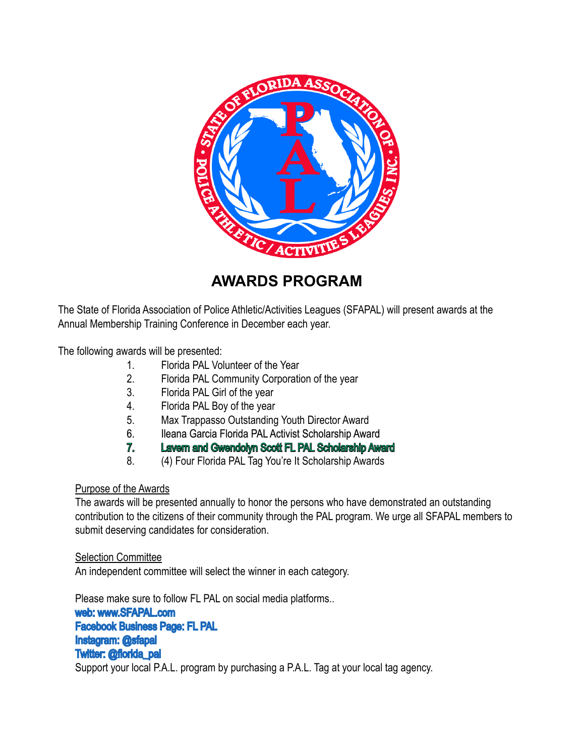

## **AWARDS PROGRAM**

The State of Florida Association of Police Athletic/Activities Leagues (SFAPAL) will present awards at the Annual Membership Training Conference in December each year.

The following awards will be presented:

- 1. Florida PAL Volunteer of the Year
- 2. Florida PAL Community Corporation of the year
- 3. Florida PAL Girl of the year
- 4. Florida PAL Boy of the year
- 5. Max Trappasso Outstanding Youth Director Award
- 6. Ileana Garcia Florida PAL Activist Scholarship Award
- 7. Lavern and Gwendolyn Scott FL PAL Scholarship Award
- 8. (4) Four Florida PAL Tag You're It Scholarship Awards

#### Purpose of the Awards

The awards will be presented annually to honor the persons who have demonstrated an outstanding contribution to the citizens of their community through the PAL program. We urge all SFAPAL members to submit deserving candidates for consideration.

#### Selection Committee

An independent committee will select the winner in each category.

Please make sure to follow FL PAL on social media platforms..

web: www.SFAPAL.com Facebook Business Page: FL PAL Instagram: @sfapal Twitter: @florida\_pal Support your local P.A.L. program by purchasing a P.A.L. Tag at your local tag agency.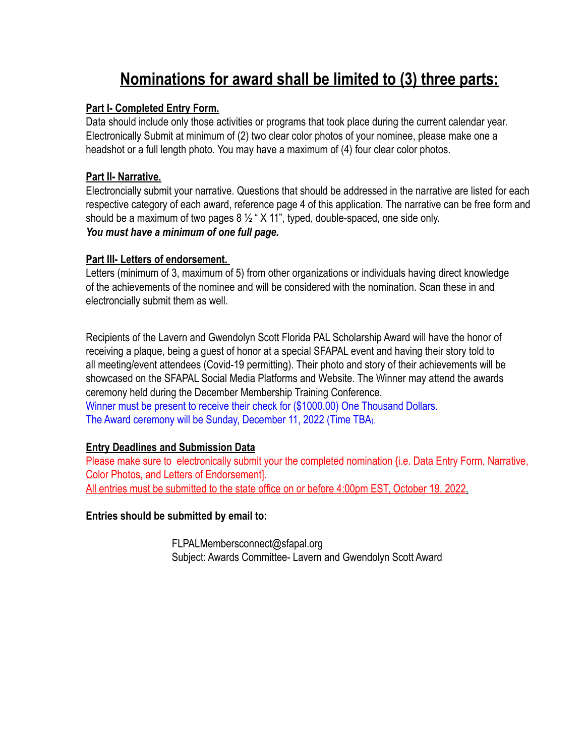# **Nominations for award shall be limited to (3) three parts:**

#### **Part I- Completed Entry Form.**

Data should include only those activities or programs that took place during the current calendar year. Electronically Submit at minimum of (2) two clear color photos of your nominee, please make one a headshot or a full length photo. You may have a maximum of (4) four clear color photos.

#### **Part II- Narrative.**

Electroncially submit your narrative. Questions that should be addressed in the narrative are listed for each respective category of each award, reference page 4 of this application. The narrative can be free form and should be a maximum of two pages  $8\frac{1}{2}$  " X 11", typed, double-spaced, one side only. *You must have a minimum of one full page.* 

#### **Part III- Letters of endorsement.**

Letters (minimum of 3, maximum of 5) from other organizations or individuals having direct knowledge of the achievements of the nominee and will be considered with the nomination. Scan these in and electroncially submit them as well.

Recipients of the Lavern and Gwendolyn Scott Florida PAL Scholarship Award will have the honor of receiving a plaque, being a guest of honor at a special SFAPAL event and having their story told to all meeting/event attendees (Covid-19 permitting). Their photo and story of their achievements will be showcased on the SFAPAL Social Media Platforms and Website. The Winner may attend the awards ceremony held during the December Membership Training Conference.

Winner must be present to receive their check for (\$1000.00) One Thousand Dollars. The Award ceremony will be Sunday, December 11, 2022 (Time TBA).

#### **Entry Deadlines and Submission Data**

Please make sure to electronically submit your the completed nomination {i.e. Data Entry Form, Narrative, Color Photos, and Letters of Endorsement]. All entries must be submitted to the state office on or before 4:00pm EST, October 19, 2022.

**Entries should be submitted by email to:**

 FLPALMembersconnect@sfapal.org Subject: Awards Committee- Lavern and Gwendolyn Scott Award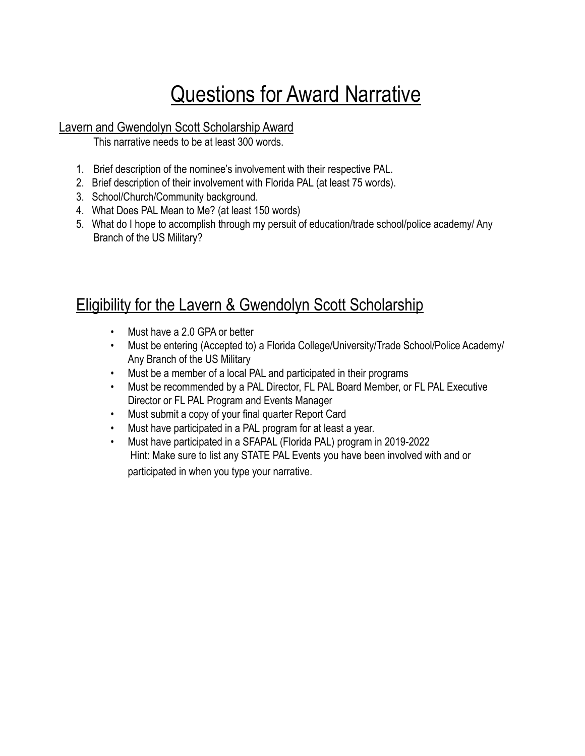# **Questions for Award Narrative**

#### Lavern and Gwendolyn Scott Scholarship Award

This narrative needs to be at least 300 words.

- 1. Brief description of the nominee's involvement with their respective PAL.
- 2. Brief description of their involvement with Florida PAL (at least 75 words).
- 3. School/Church/Community background.
- 4. What Does PAL Mean to Me? (at least 150 words)
- 5. What do I hope to accomplish through my persuit of education/trade school/police academy/ Any Branch of the US Military?

## Eligibility for the Lavern & Gwendolyn Scott Scholarship

- Must have a 2.0 GPA or better
- Must be entering (Accepted to) a Florida College/University/Trade School/Police Academy/ Any Branch of the US Military
- Must be a member of a local PAL and participated in their programs
- Must be recommended by a PAL Director, FL PAL Board Member, or FL PAL Executive Director or FL PAL Program and Events Manager
- Must submit a copy of your final quarter Report Card
- Must have participated in a PAL program for at least a year.
- Must have participated in a SFAPAL (Florida PAL) program in 2019-2022 Hint: Make sure to list any STATE PAL Events you have been involved with and or participated in when you type your narrative.